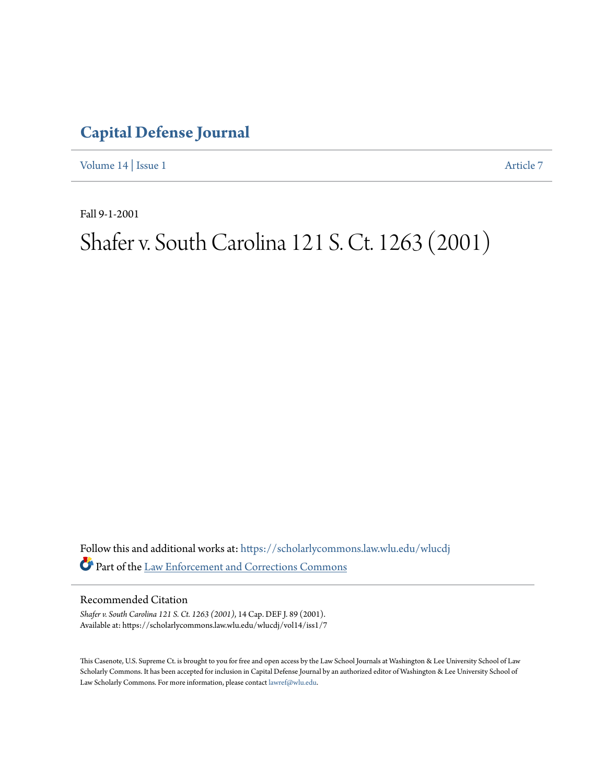### **[Capital Defense Journal](https://scholarlycommons.law.wlu.edu/wlucdj?utm_source=scholarlycommons.law.wlu.edu%2Fwlucdj%2Fvol14%2Fiss1%2F7&utm_medium=PDF&utm_campaign=PDFCoverPages)**

[Volume 14](https://scholarlycommons.law.wlu.edu/wlucdj/vol14?utm_source=scholarlycommons.law.wlu.edu%2Fwlucdj%2Fvol14%2Fiss1%2F7&utm_medium=PDF&utm_campaign=PDFCoverPages) | [Issue 1](https://scholarlycommons.law.wlu.edu/wlucdj/vol14/iss1?utm_source=scholarlycommons.law.wlu.edu%2Fwlucdj%2Fvol14%2Fiss1%2F7&utm_medium=PDF&utm_campaign=PDFCoverPages) [Article 7](https://scholarlycommons.law.wlu.edu/wlucdj/vol14/iss1/7?utm_source=scholarlycommons.law.wlu.edu%2Fwlucdj%2Fvol14%2Fiss1%2F7&utm_medium=PDF&utm_campaign=PDFCoverPages)

Fall 9-1-2001

## Shafer v. South Carolina 121 S. Ct. 1263 (2001)

Follow this and additional works at: [https://scholarlycommons.law.wlu.edu/wlucdj](https://scholarlycommons.law.wlu.edu/wlucdj?utm_source=scholarlycommons.law.wlu.edu%2Fwlucdj%2Fvol14%2Fiss1%2F7&utm_medium=PDF&utm_campaign=PDFCoverPages) Part of the [Law Enforcement and Corrections Commons](http://network.bepress.com/hgg/discipline/854?utm_source=scholarlycommons.law.wlu.edu%2Fwlucdj%2Fvol14%2Fiss1%2F7&utm_medium=PDF&utm_campaign=PDFCoverPages)

#### Recommended Citation

*Shafer v. South Carolina 121 S. Ct. 1263 (2001)*, 14 Cap. DEF J. 89 (2001). Available at: https://scholarlycommons.law.wlu.edu/wlucdj/vol14/iss1/7

This Casenote, U.S. Supreme Ct. is brought to you for free and open access by the Law School Journals at Washington & Lee University School of Law Scholarly Commons. It has been accepted for inclusion in Capital Defense Journal by an authorized editor of Washington & Lee University School of Law Scholarly Commons. For more information, please contact [lawref@wlu.edu.](mailto:lawref@wlu.edu)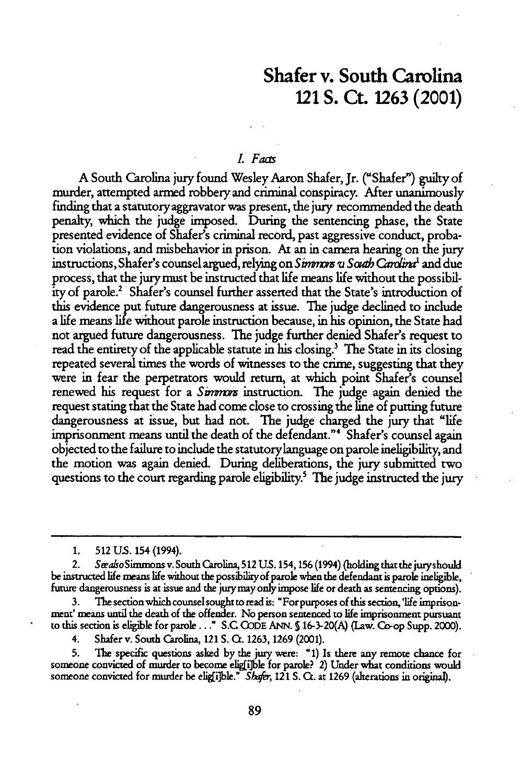### Shafer v. South Carolina 121 **S.** Ct. **1263** (2001)

#### L *Facts*

A South Carolina jury found Wesley Aaron Shafer, Jr. ("Shafer") guilty of murder, attempted armed robbery and criminal conspiracy. After unanimously finding that a statutoryaggravator was present, the jury recommended the death penalty, which the judge imposed. During the sentencing phase, the State presented evidence of Shafer's criminal record, past aggressive conduct, probation violations, and misbehavior in prison. At an in camera hearing on the jury instructions, Shafer's counsel argued, relying on *Simmors u South Cardina*<sup>1</sup> and due process, that the jury must be instructed that life means life without the possibility of parole.2 Shafer's counsel further asserted that the State's introduction of this evidence put future dangerousness at issue. The judge declined to include a life means **life** without parole instruction because, in his opinion, the State had not argued future dangerousness. The judge further denied Shafer's request to read the entirety of the applicable statute in his closing.' The State in its closing repeated several times the words of witnesses to the crime, suggesting that they were in fear the perpetrators would return, at which point Shafer's counsel renewed his request for a *Simmors* instruction. The judge again denied the request stating that the State had come close to crossing the line of putting future dangerousness at issue, but had not. The judge charged the jury that "life imprisonment means until the death of the defendant."" Shafer's counsel again objected to the failure to include the statutorylanguage on parole ineligibility, and the motion was again denied. During deliberations, the jury submitted two questions to the court regarding parole eligibility.<sup>5</sup> The judge instructed the jury

**1. 512 US.** 154 (1994).

2. SeeasoSimmons v. South Carolina, **512** U.S. 154,156 (1994) (holding that the juryshould be instructed life means life without the possibilkyof parole when the defendant is parole ineligible, future dangerousness is at issue and the jury may only impose life or death as sentencing options).

3. The section which counsel sought to read is: "For purposes of this section,'life imprisonmert' means until the death of the offender. No person sentenced to life imprisonment pursuant to this section is eligible for parole..." **S.C** CODE ANN. **S** 16-3-20(A) (Law. Co-op Supp. 2000).

4. Shafer v. South Carolina, 121 **S.** Ct. 1263, 1269 (2001).

**5.** The specific questions asked by the jury were: **"1)** Is there any remote chance for someone convicted of murder to become eligii]ble for parole? 2) Under what conditions would someone convicted for murder be eligii]ble." *Shafer*, 121 S. Ct. at 1269 (alterations in original).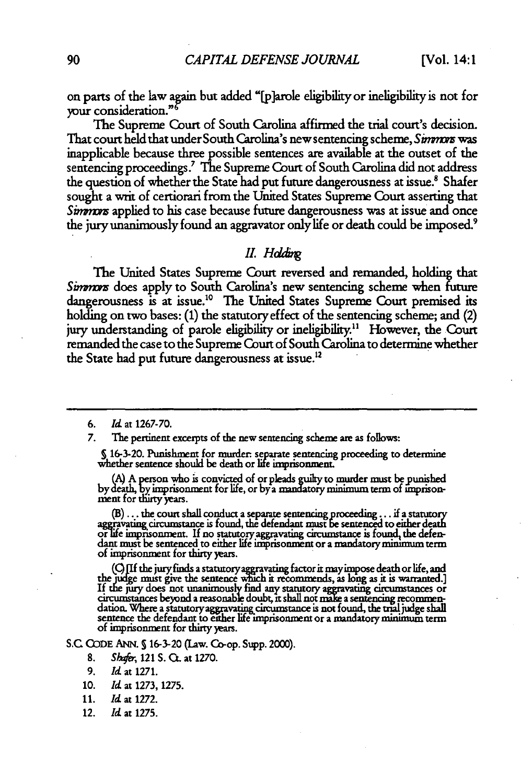on parts of the law **am** but added "[p]arole eligibility or ineligibility is not for your consideration."

The Supreme Court of South Carolina affirmed the trial court's decision. That court held that under South Carolina's new sentencing scheme, *Smnm* was inapplicable because three possible sentences are available at the outset of the sentencing proceedings." The Supreme Court of South Carolina did not address the question of whether the State had put future dangerousness at issue.<sup>8</sup> Shafer sought a writ of certiorari from the United States Supreme Court asserting that Simmors applied to his case because future dangerousness was at issue and once the jury unanimously found an aggravator only life or death could be imposed.9

#### *II. Hdding*

The United States Supreme Court reversed and remanded, holding that Simmors does apply to South Carolina's new sentencing scheme when future dangerousness is at issue.<sup>10</sup> The United States Supreme Court premised its holding on two bases: **(1)** the statutory effect of the sentencing scheme; and (2) jury understanding of parole eligibility or ineligibility." However, the Court remanded the case to the Supreme Court of South Carolina to determine whether the State had put future dangerousness at issue.<sup>12</sup>

*7.* The pertinent excerpts of the new sentencing scheme are as follows:

**S** 16-3-20. Punishment for murder separate sentencing proceeding to determine whether sentence should be death or life imprisonment.

**& A** person who is convicted of or pleads **ulry** to murder must bepunished **by** dth, **by** imprisonment for life, or by a mandatory minimum term of imprison- **ment** for thirty years.

(B)... the court shall conduct a separate sentencing proceeding... if a statutory aggravating circumstance is found, the defendant must be sentenced to either death **o ionment. If** no statutory aggravatung circumstance is found, the defendant must be sentenced to either **life** imprisonment or a mandatory minimum term of imprisonment for thirty years.

(C) [If the jury finds a statutory aggravating factor it may impose death or life, and the judge must give the sentence which it recommends, as long as it is warranted.] If the jury does not unanimously find any statutory aggravating circumstances or circumstances beyond a reasonable doubt, it shall not make a sentencing recommen-<br>dation. Where a statutory aggravating circumstance is not found, the trial judge shall dation. Where a statutory aggravating circumstance is not found, the trial judge shall sentence the defendant to either life imprisonment or a mandatory minimum term of imprisonment for thirty years.

**S.C CODE ANN. S** 16-3-20 (Law. Co-op. Supp. 2000).

- **8.** *Sh&r,* 121 S. CL at **1270.**
- *9. Id* at **1271.**
- 10. *Id* at **1273,** 1275.
- 11. *Id* at 1272.
- 12. Id at **1275.**

*<sup>6.</sup> Id* at 1267-70.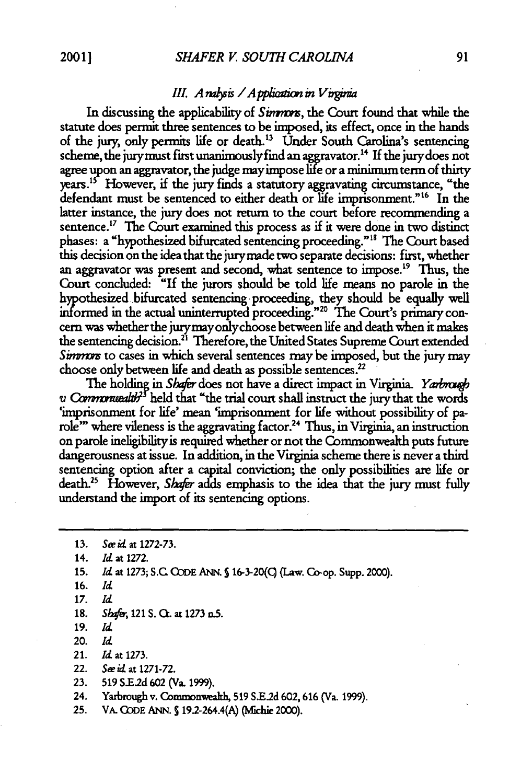#### *III. A nalysis / A pplication in Virginia*

In discussing the applicability of *Simmos*, the Court found that while the statute does permit three sentences to be imposed, its effect, once in the hands of the jury, only permits life or death." Under South Carolina's sentencing scheme, the jurymust first unanimouslyfind an aggravator.14 If the jurydoes not agree upon an aggravator, the judge mayimpose life or a minimum term of thirty years.<sup>15</sup> However, if the jury finds a statutory aggravating circumstance, "the defendant must be sentenced to either death or life imprisonment."<sup>16</sup> In the latter instance, the jury does not return to the court before recommending a sentence.<sup>17</sup> The Court examined this process as if it were done in two distinct phases: a "hypothesized bifurcated sentencing proceeding."" The Court based this decision on the idea that the jurymade two separate decisions: first, whether an aggravator was present and second, what sentence to impose.<sup>19</sup> Thus, the Court concluded: "If the jurors should be told life means no parole in the hypothesized bifurcated sentencing proceeding, they should be equally well informed in the actual uninterrupted proceeding."20 The Court's primary concern was whether the jurymayonlychoose between life and death when it nakes the sentencing decision.<sup>21</sup> Therefore, the United States Supreme Court extended Simmors to cases in which several sentences may be imposed, but the jury may choose only between life and death as possible sentences.<sup>22</sup>

The holding in *Shafer* does not have a direct impact in Virginia. *Yarbrough v* Commonwealth<sup>35</sup> held that "the trial court shall instruct the jury that the words 'imprisonment for life' mean 'imprisonment for life without possibility of parole'" where vileness is the aggravating factor.24 Thus, in Virginia, an instruction on parole ineligibility is required whether or not the Commonwealth puts future dangerousness at issue. In addition, in the Virginia scheme there is never a **third** sentencing option after a capital conviction; the only possibilities are life or death.<sup>25</sup> However, *Shafer* adds emphasis to the idea that the jury must fully understand the import of its sentencing options.

| 13. | See id at 1272-73.                                                 |
|-----|--------------------------------------------------------------------|
| 14. | Id. at 1272.                                                       |
| 15. | Id. at 1273; S.C. CODE ANN. § 16-3-20(C) (Law. Co-op. Supp. 2000). |
| 16. | Id                                                                 |
| 17. | Id.                                                                |
| 18. | Shafer, 121 S. Ct. at 1273 n.5.                                    |
| 19. | Id.                                                                |
| 20. | Id                                                                 |
| 21. | <i>Id.</i> at 1273.                                                |
| 22. | See id. at 1271-72.                                                |
| 23. | 519 S.E.2d 602 (Va. 1999).                                         |
| 24. | Yarbrough v. Commonwealth, 519 S.E.2d 602, 616 (Va. 1999).         |
| 25. | VA. CODE ANN. § 19.2-264.4(A) (Michie 2000).                       |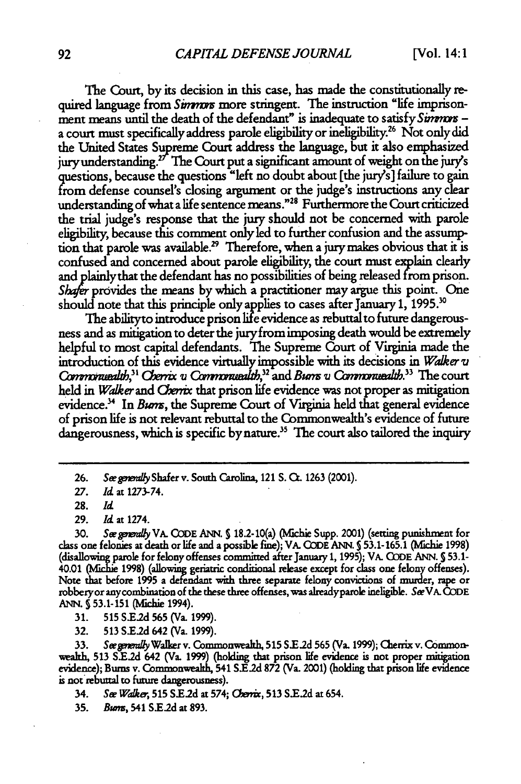The Court, **by** its decision in this case, has made the constitutionally required language from *Simmus* more stringent. The instruction "life imprisonment means until the death of the defendant" is inadequate to satisfy *Simmors* a court must specifically address parole eligibility or ineligibility.<sup>26</sup> Not only did the United States Supreme Court address the language, but it also emphasized jury understanding.<sup>27</sup> The Court put a significant amount of weight on the jury's questions, because the questions "left no doubt about [the jury's] failure to gain from defense counsel's closing argument or the judge's instructions any clear understanding of what a life sentence means."<sup>28</sup> Furthermore the Court criticized the trial judge's response that the jury should not be concerned with parole eligibility, because this comment only led to further confusion and the assumption that parole was available.<sup>29</sup> Therefore, when a jury makes obvious that it is confused and concerned about parole eligibility, the court must explain clearly and plainly that the defendant has no possibilities of being released from prison. Shafer provides the means by which a practitioner may argue this point. One should note that this principle only applies to cases after January **1, 1995. <sup>0</sup>**

The ability to introduce prison life evidence as rebuttal to future dangerousness and as mitigation to deter the juryfrom imposing death would be extremely helpful to most capital defendants. The Supreme Court of Virginia made the introduction of this evidence virtually impossible with its decisions in *Wakerv Qw7rtwZ-l, <sup>3</sup> ' Or (* **V M,32** and *Burn V C&Mmiazlb."* The court held in *Walker* and *Cherrix* that prison life evidence was not proper as mitigation evidence.<sup>34</sup> In *Burn*s, the Supreme Court of Virginia held that general evidence of prison life is not relevant rebuttal to the Commonwealth's evidence of future dangerousness, which is specific by nature.<sup>35</sup> The court also tailored the inquiry

**30.** *Sepowraly* VA. **CODE ANN. S18.2-10(a)** (Michie Supp. 2001) (setting punishment for class one felonies at death or life and a possible fine); VA. **CODE** ANN. **S 53.1-165.1** (Michie **1998)** (disallowing parole for felony offenses committed after January **1, 1995);** VA. **CODE** ANN. **S 53.1-** 40.01 (Michie 1998) (allowing geriatric conditional release except for class one felony offenses). Note that before **1995** a **defendant with** three separate felony convictions of murder, rape or robberyor anycombination of the these three offenses, was alreadyparoe ineligible. *SwVA.* **CODE ANN. S** 53.1-151 (Michie 1994).

**31. 515 S.E2d 565** (Va. **1999).**

32. **513 S.E2d** 642 (Va. 1999).

See generally Walker v. Commonwealth, 515 S.E.2d 565 (Va. 1999); Cherrix v. Commonweath, **513 SE.2d** 642 (Va. **1999)** (holding that prison life evidence is not proper mitigation evidence); Bums v. Commonwealth, 541 **SE.2d 872** (Va. 2001) (holding that prison life evidence is not rebuttal to future dangerousness).

34. *See Walker*, 515 S.E.2d at 574; *Cherrix*, 513 S.E.2d at 654.

**35.** *Bumn,* 541 **S.E2d** at 893.

**<sup>26.</sup>** *Sewgay* Shafer v. South Carolina, 121 **S. C.** 1263 (2001).

<sup>27.</sup> *Id* at 1273-74.

**<sup>28.</sup>** *Id*

**<sup>29.</sup>** *Id* at 1274.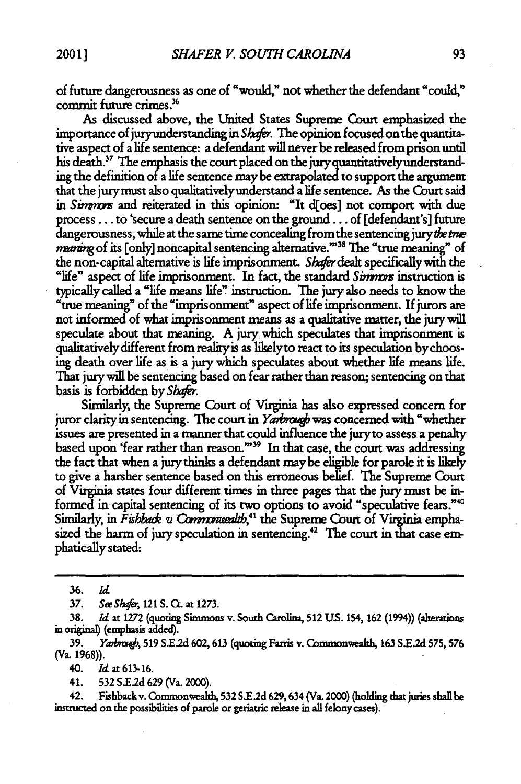of future dangerousness as one of "would," not whether the defendant "could," commit future crimes.<sup>36</sup>

As discussed above, the United States Supreme Court emphasized the importance of juryunderstanding in *Shafer.* The opinion focused on the quantitative aspect of a life sentence: a defendant will never be released from prison until his death.<sup>37</sup> The emphasis the court placed on the jury quantitatively understanding the definition of a life sentence maybe extrapolated to support the argument that the jurymust also qualitativelyunderstand a life sentence. As the Court said in Simmon and reiterated in this opinion: "It d[oes] not comport with due process... to 'secure a death sentence on the ground... of [defendant's] future dangerousness, while at the same time concealing from the sentencing jury the true maning of its [only] noncapital sentencing alternative.""38 The "true meaning" of the non-capital alternative is life imprisonment. Shafer dealt specifically with the "life" aspect of life imprisonment. In fact, the standard *Simmors* instruction is typically called a "life means life" instruction. *The* jury also needs to know the "true meaning" of the "imprisonment" aspect of life imprisonment. If jurors are not informed of what imprisonment means as a qualitative matter, the jury will speculate about that meaning. A jury which speculates that imprisonment is qualitatively different from realityis as likelyto react to its speculation bychoosing death over life as is a jury which speculates about whether life means life. That jurywill be sentencing based on fear rather than reason; sentencing on that basis is forbidden by *Shfr.*

Similarly, the Supreme Court of Virginia has also expressed concern for juror clarity in sentencing. The court in Yarbrough was concerned with "whether issues are presented in a manner that could influence the jury to assess a penalty based upon 'fear rather than reason."<sup>39</sup> In that case, the court was addressing the fact that when a jury thinks a defendant maybe eligible for parole it is likely to give a harsher sentence based on this erroneous belief. The Supreme Court of Virginia states four different times in three pages that the jury must be informed in capital sentencing of its two options to avoid "speculative fears."<sup>40</sup> Similarly, in *Fishback v Commonuealth*,<sup>41</sup> the Supreme Court of Virginia emphasized the harm of jury speculation in sentencing.<sup>42</sup> The court in that case emphatically stated:

**39.** *Yabm#,* **519 S.E.2d** 602, 613 (quoting Farris v. Commonwealh, 163 **S.E2d 575, 576** (Va. 1968)).

40. *Idat* **613-16.**

41. **532 S.E2d 629** (Va. 2000).

42. Fishbackv. Commonwealth, **532** S.E.2d 629,634 (Va. 2000) (holding that juries shallbe instructed on the possibilities of parole or geriatric release in all felony cases).

**<sup>36.</sup>** *Id*

**<sup>37.</sup> See** *Sir,* 121 S. **C.** at **1273.**

**<sup>38.</sup>** *Id* at 1272 (quoting Simmons v. South Carolina, **512 US.** 154, 162 (1994)) (alterations in origina) (emphasis added).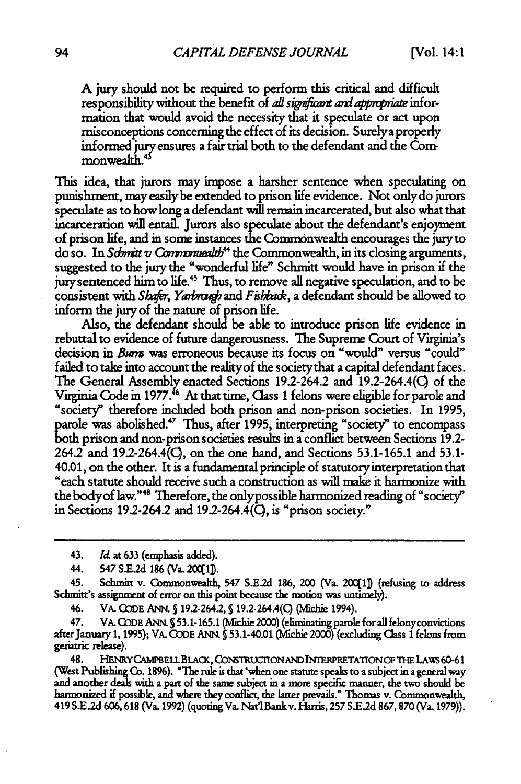**A** jury should not be required to perform this critical and difficult responsibility without the benefit of *all significant and appropriate* information that would avoid the necessity that it speculate or act upon misconceptions concerning the effect of its decision. Surelya properly informed jury ensures a fair trial both to the defendant and the Com**monwealth.4**

This idea, that jurors may impose a harsher sentence when speculating on punishment, mayeasilybe extended to prison life evidence. Not onlydo jurors speculate as to how long a defendant will remain incarcerated, but also what that incarceration will entail. Jurors also speculate about the defendant's enjoyment of prison life, and in some instances the Commonwealth encourages the juryto do so. In Schmitt *v* Commonwealth<sup>44</sup> the Commonwealth, in its closing arguments, suggested to the jury the "wonderful life" Schmitt would have in prison if the jury sentenced him to life.<sup>45</sup> Thus, to remove all negative speculation, and to be consistent with *Shafer*, *Yarbrough* and *Fishback*, a defendant should be allowed to inform the jury of the nature of prison life.

Also, the defendant should be able to introduce prison life evidence in rebuttal to evidence of future dangerousness. The Supreme Court of Virginia's decision in *Buns* was erroneous because its focus on "would" versus "could" failed to take into account the reality of the societythat a capital defendant faces. The General Assembly enacted Sections 19.2-264.2 and 192-264.4(C) of the Virginia Code in **1977.'** At that time, (lass **1** felons were eligible for parole and "society" therefore included both prison and non-prison societies. In **1995,** parole was abolished.47 Thus, after **1995,** interpreting "society" to encompass both prison and non-prison societies results in a conflict between Sections **19.2-** 264.2 and 19.2-264.4(Q, on the one hand, and Sections **53.1-165.1** and **53.1-** 40.01, on the other. It is a fundamental principle of statutoryinterpretation that "each statute should receive such a construction as will make it harmonize with the bodyof law." 48 Therefore, the onlypossible harmonized reading of "society" in Sections 19.2-264.2 and 19.2-264.4 $(\bar{C})$ , is "prison society."

46. VA. **CODE** ANN. S19.2-264.2, 192-264.4(Q (Mlchie 1994).

47. VA. **CODE ANN. S 53.1-165.1** (Mchie 2000) (eliminating parole forall felonyconvictions after January **1, 1995);** VA. **CODE ANN. S** 53.1-40.01 (Michie 2000) (excluding Class **1** felons from geriatric release).

48. HENRYCAwBELLBLAcK, C)DmTRucnoNANDINTERPRETAnoNoF **TE LAWS 60-61** (West Publishing Co. **1896).** "The rule is that 'when one statute speaks to a subject in a general way and another deals **with** a part of the same subject in a more specific manner, the two should be harmonized if possible, and where they conflict, the latter prevails." Thomas v. Commonweakh, 419 **S.E.2d** 606,618 (Va. 1992) (quoting Va. Nat' Bankv. Harris, **257** S.E.2d 867,870 (Va. 1979)).

<sup>43.</sup> *Id* at **633** (emphasis added).

<sup>44. 547</sup> **S.E2d 186** (Va. **20C1Db.**

<sup>45.</sup> Schmitt v. Commonwealth, 547 **S.Ed** 186, 200 (Va. 20(l) (refusing to address Schmitt's assignment of error on this **point** because the motion was untimel).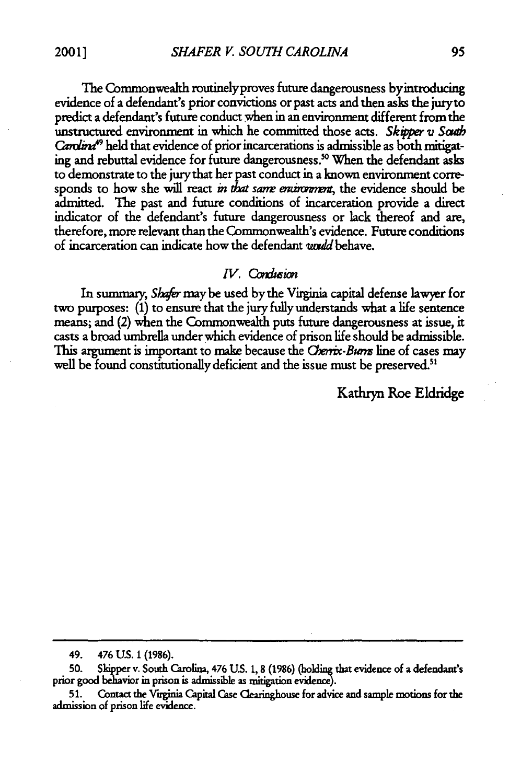The Commonwealth routinelyproves future dangerousness byintroducing evidence of a defendant's prior convictions or past acts and then asks the juryto predict a defendant's future conduct when in an environment different from the unstructured environment in which he committed those acts. *Skipper v South Cardina*<sup>49</sup> held that evidence of prior incarcerations is admissible as both mitigating and rebuttal evidence for future dangerousness."0 When the defendant asks to demonstrate to the jury that her past conduct in a known environment corresponds to how she will react *in that same entroment*, the evidence should be admitted. The past and future conditions of incarceration provide a direct indicator of the defendant's future dangerousness or lack thereof and are, therefore, more relevant than the Commonwealth's evidence. Future conditions of incarceration can indicate how the defendant *widU* behave.

#### *IV. Condusion*

In summary, *Sher* may be used by the Virginia capital defense lawyer for two purposes: **(1)** to ensure that the jury fully understands what a life sentence means; and (2) when the Commonwealth puts future dangerousness at issue, it casts a broad umbrella under which evidence of prison life should be admissible. This argument is important to make because the *Cherix-Burn* line of cases may well be found constitutionally deficient and the issue must be preserved.<sup>51</sup>

Kathryn Roe Eldridge

<sup>49. 476</sup> **US. 1 (1986).**

**<sup>50.</sup>** Skipper v. South Carolina, 476 **US.** 1, 8 (1986) (holding that evidence of a defendant's prior good behavior in prison is admissible as mitigation evidence).

**<sup>51.</sup>** Contact the Virginia Capital Case Clearinghouse for advice and sample motions for the admission of prison life evidence.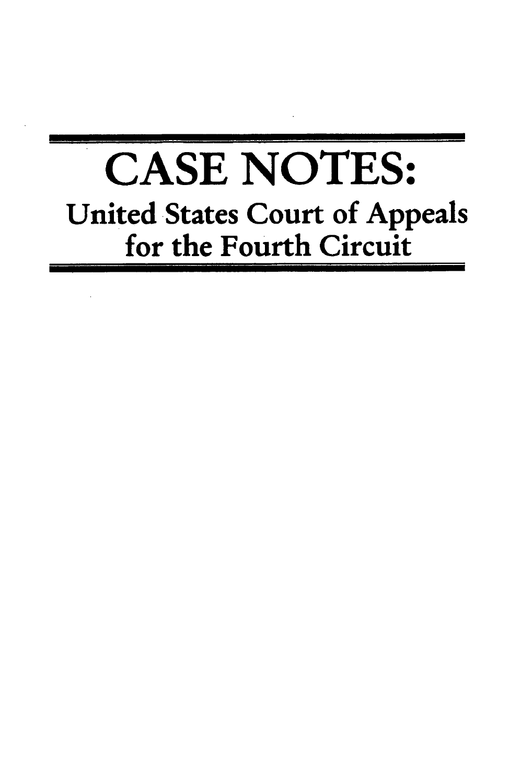# **CASE NOTES:** United States Court of Appeals for the Fourth Circuit